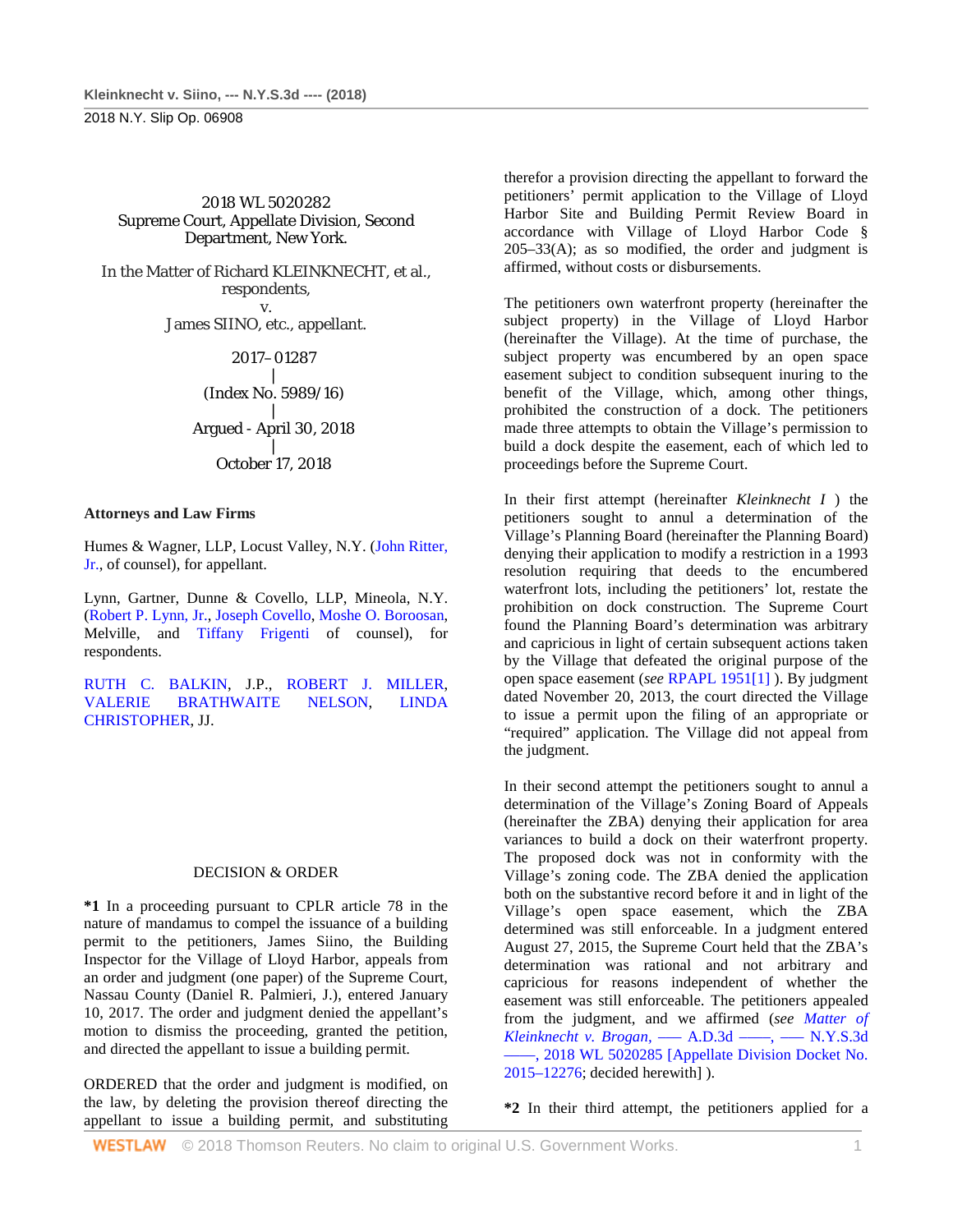2018 N.Y. Slip Op. 06908

2018 WL 5020282 Supreme Court, Appellate Division, Second Department, New York.

In the Matter of Richard KLEINKNECHT, et al., respondents, v. James SIINO, etc., appellant.

2017–01287

| (Index No. 5989/16)

| Argued - April 30, 2018 | October 17, 2018

## **Attorneys and Law Firms**

Humes & Wagner, LLP, Locust Valley, N.Y. [\(John Ritter,](http://www.westlaw.com/Link/Document/FullText?findType=h&pubNum=176284&cite=0168165801&originatingDoc=I76d9f570d23711e8ae6bb4b0ae8dca5a&refType=RQ&originationContext=document&vr=3.0&rs=cblt1.0&transitionType=DocumentItem&contextData=(sc.DocLink))  [Jr.,](http://www.westlaw.com/Link/Document/FullText?findType=h&pubNum=176284&cite=0168165801&originatingDoc=I76d9f570d23711e8ae6bb4b0ae8dca5a&refType=RQ&originationContext=document&vr=3.0&rs=cblt1.0&transitionType=DocumentItem&contextData=(sc.DocLink)) of counsel), for appellant.

Lynn, Gartner, Dunne & Covello, LLP, Mineola, N.Y. [\(Robert P. Lynn, Jr.,](http://www.westlaw.com/Link/Document/FullText?findType=h&pubNum=176284&cite=0276928101&originatingDoc=I76d9f570d23711e8ae6bb4b0ae8dca5a&refType=RQ&originationContext=document&vr=3.0&rs=cblt1.0&transitionType=DocumentItem&contextData=(sc.DocLink)) [Joseph Covello,](http://www.westlaw.com/Link/Document/FullText?findType=h&pubNum=176284&cite=0200467001&originatingDoc=I76d9f570d23711e8ae6bb4b0ae8dca5a&refType=RQ&originationContext=document&vr=3.0&rs=cblt1.0&transitionType=DocumentItem&contextData=(sc.DocLink)) [Moshe O. Boroosan,](http://www.westlaw.com/Link/Document/FullText?findType=h&pubNum=176284&cite=0499010799&originatingDoc=I76d9f570d23711e8ae6bb4b0ae8dca5a&refType=RQ&originationContext=document&vr=3.0&rs=cblt1.0&transitionType=DocumentItem&contextData=(sc.DocLink))  Melville, and [Tiffany Frigenti](http://www.westlaw.com/Link/Document/FullText?findType=h&pubNum=176284&cite=0490098199&originatingDoc=I76d9f570d23711e8ae6bb4b0ae8dca5a&refType=RQ&originationContext=document&vr=3.0&rs=cblt1.0&transitionType=DocumentItem&contextData=(sc.DocLink)) of counsel), for respondents.

[RUTH C. BALKIN,](http://www.westlaw.com/Link/Document/FullText?findType=h&pubNum=176284&cite=0256479401&originatingDoc=I76d9f570d23711e8ae6bb4b0ae8dca5a&refType=RQ&originationContext=document&vr=3.0&rs=cblt1.0&transitionType=DocumentItem&contextData=(sc.DocLink)) J.P., [ROBERT J. MILLER,](http://www.westlaw.com/Link/Document/FullText?findType=h&pubNum=176284&cite=0238268101&originatingDoc=I76d9f570d23711e8ae6bb4b0ae8dca5a&refType=RQ&originationContext=document&vr=3.0&rs=cblt1.0&transitionType=DocumentItem&contextData=(sc.DocLink))  [VALERIE BRATHWAITE NELSON,](http://www.westlaw.com/Link/Document/FullText?findType=h&pubNum=176284&cite=0278265301&originatingDoc=I76d9f570d23711e8ae6bb4b0ae8dca5a&refType=RQ&originationContext=document&vr=3.0&rs=cblt1.0&transitionType=DocumentItem&contextData=(sc.DocLink)) [LINDA](http://www.westlaw.com/Link/Document/FullText?findType=h&pubNum=176284&cite=0120465901&originatingDoc=I76d9f570d23711e8ae6bb4b0ae8dca5a&refType=RQ&originationContext=document&vr=3.0&rs=cblt1.0&transitionType=DocumentItem&contextData=(sc.DocLink))  [CHRISTOPHER,](http://www.westlaw.com/Link/Document/FullText?findType=h&pubNum=176284&cite=0120465901&originatingDoc=I76d9f570d23711e8ae6bb4b0ae8dca5a&refType=RQ&originationContext=document&vr=3.0&rs=cblt1.0&transitionType=DocumentItem&contextData=(sc.DocLink)) JJ.

## DECISION & ORDER

**\*1** In a proceeding pursuant to CPLR article 78 in the nature of mandamus to compel the issuance of a building permit to the petitioners, James Siino, the Building Inspector for the Village of Lloyd Harbor, appeals from an order and judgment (one paper) of the Supreme Court, Nassau County (Daniel R. Palmieri, J.), entered January 10, 2017. The order and judgment denied the appellant's motion to dismiss the proceeding, granted the petition, and directed the appellant to issue a building permit.

ORDERED that the order and judgment is modified, on the law, by deleting the provision thereof directing the appellant to issue a building permit, and substituting

therefor a provision directing the appellant to forward the petitioners' permit application to the Village of Lloyd Harbor Site and Building Permit Review Board in accordance with Village of Lloyd Harbor Code §  $205-33(A)$ ; as so modified, the order and judgment is affirmed, without costs or disbursements.

The petitioners own waterfront property (hereinafter the subject property) in the Village of Lloyd Harbor (hereinafter the Village). At the time of purchase, the subject property was encumbered by an open space easement subject to condition subsequent inuring to the benefit of the Village, which, among other things, prohibited the construction of a dock. The petitioners made three attempts to obtain the Village's permission to build a dock despite the easement, each of which led to proceedings before the Supreme Court.

In their first attempt (hereinafter *Kleinknecht I* ) the petitioners sought to annul a determination of the Village's Planning Board (hereinafter the Planning Board) denying their application to modify a restriction in a 1993 resolution requiring that deeds to the encumbered waterfront lots, including the petitioners' lot, restate the prohibition on dock construction. The Supreme Court found the Planning Board's determination was arbitrary and capricious in light of certain subsequent actions taken by the Village that defeated the original purpose of the open space easement (*see* [RPAPL 1951\[1\]](http://www.westlaw.com/Link/Document/FullText?findType=L&pubNum=1000130&cite=NYRAS1951&originatingDoc=I76d9f570d23711e8ae6bb4b0ae8dca5a&refType=LQ&originationContext=document&vr=3.0&rs=cblt1.0&transitionType=DocumentItem&contextData=(sc.DocLink)) ). By judgment dated November 20, 2013, the court directed the Village to issue a permit upon the filing of an appropriate or "required" application. The Village did not appeal from the judgment.

In their second attempt the petitioners sought to annul a determination of the Village's Zoning Board of Appeals (hereinafter the ZBA) denying their application for area variances to build a dock on their waterfront property. The proposed dock was not in conformity with the Village's zoning code. The ZBA denied the application both on the substantive record before it and in light of the Village's open space easement, which the ZBA determined was still enforceable. In a judgment entered August 27, 2015, the Supreme Court held that the ZBA's determination was rational and not arbitrary and capricious for reasons independent of whether the easement was still enforceable. The petitioners appealed from the judgment, and we affirmed (*see [Matter of](http://www.westlaw.com/Link/Document/FullText?findType=Y&serNum=2045782468&pubNum=0000999&originatingDoc=I76d9f570d23711e8ae6bb4b0ae8dca5a&refType=RP&originationContext=document&vr=3.0&rs=cblt1.0&transitionType=DocumentItem&contextData=(sc.DocLink))  [Kleinknecht v. Brogan,](http://www.westlaw.com/Link/Document/FullText?findType=Y&serNum=2045782468&pubNum=0000999&originatingDoc=I76d9f570d23711e8ae6bb4b0ae8dca5a&refType=RP&originationContext=document&vr=3.0&rs=cblt1.0&transitionType=DocumentItem&contextData=(sc.DocLink))* ––– A.D.3d ––––, ––– N.Y.S.3d [––––, 2018 WL 5020285 \[Appellate Division Docket No.](http://www.westlaw.com/Link/Document/FullText?findType=Y&serNum=2045782468&pubNum=0000999&originatingDoc=I76d9f570d23711e8ae6bb4b0ae8dca5a&refType=RP&originationContext=document&vr=3.0&rs=cblt1.0&transitionType=DocumentItem&contextData=(sc.DocLink))  [2015–12276;](http://www.westlaw.com/Link/Document/FullText?findType=Y&serNum=2045782468&pubNum=0000999&originatingDoc=I76d9f570d23711e8ae6bb4b0ae8dca5a&refType=RP&originationContext=document&vr=3.0&rs=cblt1.0&transitionType=DocumentItem&contextData=(sc.DocLink)) decided herewith] ).

**\*2** In their third attempt, the petitioners applied for a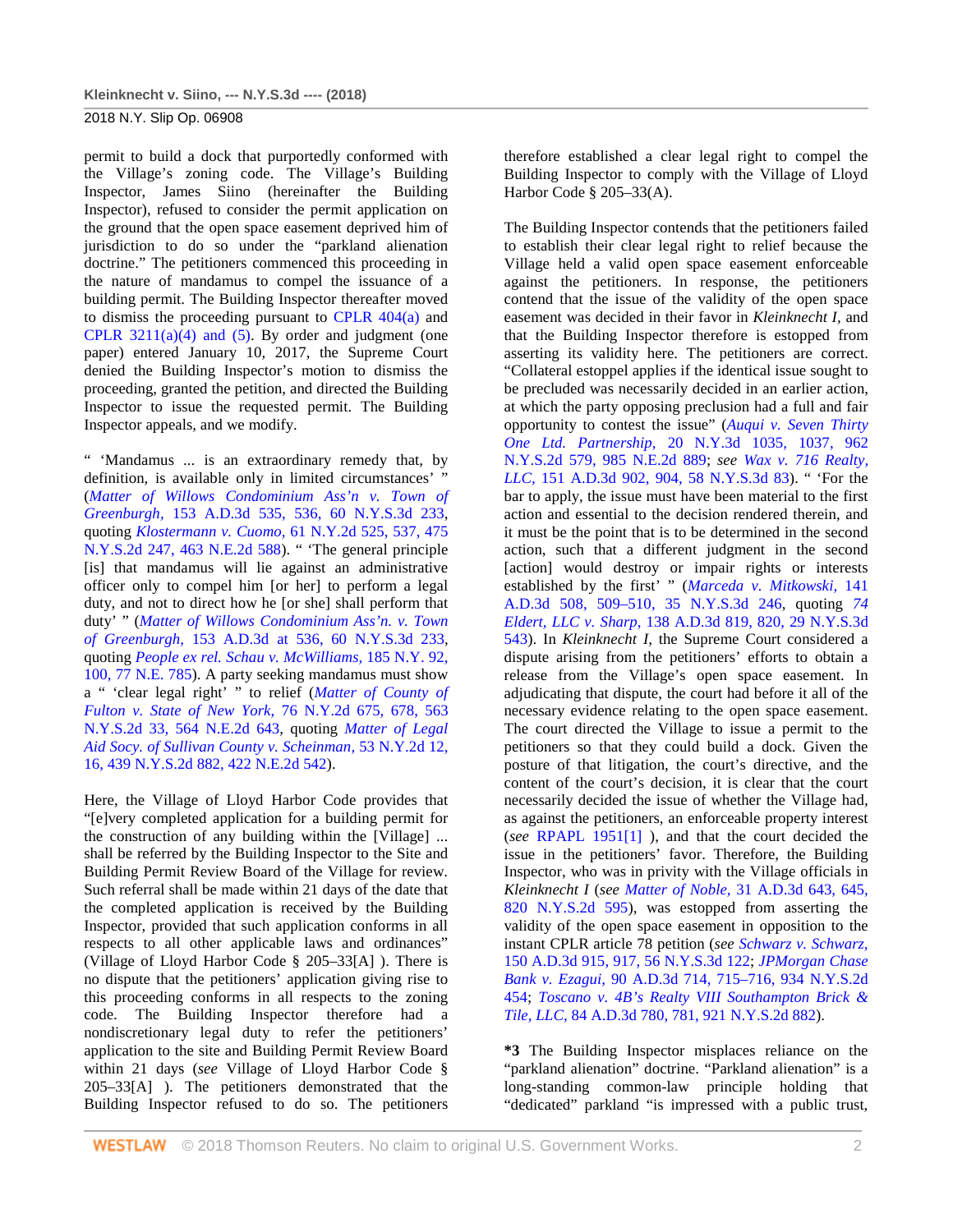2018 N.Y. Slip Op. 06908

permit to build a dock that purportedly conformed with the Village's zoning code. The Village's Building Inspector, James Siino (hereinafter the Building Inspector), refused to consider the permit application on the ground that the open space easement deprived him of jurisdiction to do so under the "parkland alienation doctrine." The petitioners commenced this proceeding in the nature of mandamus to compel the issuance of a building permit. The Building Inspector thereafter moved to dismiss the proceeding pursuant to [CPLR 404\(a\)](http://www.westlaw.com/Link/Document/FullText?findType=L&pubNum=1000059&cite=NYCPS404&originatingDoc=I76d9f570d23711e8ae6bb4b0ae8dca5a&refType=SP&originationContext=document&vr=3.0&rs=cblt1.0&transitionType=DocumentItem&contextData=(sc.DocLink)#co_pp_8b3b0000958a4) and CPLR  $3211(a)(4)$  and  $(5)$ . By order and judgment (one paper) entered January 10, 2017, the Supreme Court denied the Building Inspector's motion to dismiss the proceeding, granted the petition, and directed the Building Inspector to issue the requested permit. The Building Inspector appeals, and we modify.

" 'Mandamus ... is an extraordinary remedy that, by definition, is available only in limited circumstances' " (*[Matter of Willows Condominium Ass'n v. Town of](http://www.westlaw.com/Link/Document/FullText?findType=Y&serNum=2042293329&pubNum=0007980&originatingDoc=I76d9f570d23711e8ae6bb4b0ae8dca5a&refType=RP&fi=co_pp_sp_7980_536&originationContext=document&vr=3.0&rs=cblt1.0&transitionType=DocumentItem&contextData=(sc.DocLink)#co_pp_sp_7980_536)  Greenburgh,* [153 A.D.3d 535, 536, 60 N.Y.S.3d 233,](http://www.westlaw.com/Link/Document/FullText?findType=Y&serNum=2042293329&pubNum=0007980&originatingDoc=I76d9f570d23711e8ae6bb4b0ae8dca5a&refType=RP&fi=co_pp_sp_7980_536&originationContext=document&vr=3.0&rs=cblt1.0&transitionType=DocumentItem&contextData=(sc.DocLink)#co_pp_sp_7980_536)  quoting *Klostermann v. Cuomo,* [61 N.Y.2d 525, 537, 475](http://www.westlaw.com/Link/Document/FullText?findType=Y&serNum=1984126096&pubNum=0000578&originatingDoc=I76d9f570d23711e8ae6bb4b0ae8dca5a&refType=RP&originationContext=document&vr=3.0&rs=cblt1.0&transitionType=DocumentItem&contextData=(sc.DocLink))  [N.Y.S.2d 247, 463 N.E.2d 588\)](http://www.westlaw.com/Link/Document/FullText?findType=Y&serNum=1984126096&pubNum=0000578&originatingDoc=I76d9f570d23711e8ae6bb4b0ae8dca5a&refType=RP&originationContext=document&vr=3.0&rs=cblt1.0&transitionType=DocumentItem&contextData=(sc.DocLink)). " 'The general principle [is] that mandamus will lie against an administrative officer only to compel him [or her] to perform a legal duty, and not to direct how he [or she] shall perform that duty' " (*[Matter of Willows Condominium Ass'n. v. Town](http://www.westlaw.com/Link/Document/FullText?findType=Y&serNum=2042293329&pubNum=0007980&originatingDoc=I76d9f570d23711e8ae6bb4b0ae8dca5a&refType=RP&originationContext=document&vr=3.0&rs=cblt1.0&transitionType=DocumentItem&contextData=(sc.DocLink))  of Greenburgh,* [153 A.D.3d at 536, 60 N.Y.S.3d 233,](http://www.westlaw.com/Link/Document/FullText?findType=Y&serNum=2042293329&pubNum=0007980&originatingDoc=I76d9f570d23711e8ae6bb4b0ae8dca5a&refType=RP&originationContext=document&vr=3.0&rs=cblt1.0&transitionType=DocumentItem&contextData=(sc.DocLink))  quoting *[People ex rel. Schau v. McWilliams,](http://www.westlaw.com/Link/Document/FullText?findType=Y&serNum=1906005002&pubNum=0000577&originatingDoc=I76d9f570d23711e8ae6bb4b0ae8dca5a&refType=RP&originationContext=document&vr=3.0&rs=cblt1.0&transitionType=DocumentItem&contextData=(sc.DocLink))* 185 N.Y. 92, [100, 77 N.E. 785\)](http://www.westlaw.com/Link/Document/FullText?findType=Y&serNum=1906005002&pubNum=0000577&originatingDoc=I76d9f570d23711e8ae6bb4b0ae8dca5a&refType=RP&originationContext=document&vr=3.0&rs=cblt1.0&transitionType=DocumentItem&contextData=(sc.DocLink)). A party seeking mandamus must show a " 'clear legal right' " to relief (*[Matter of County of](http://www.westlaw.com/Link/Document/FullText?findType=Y&serNum=1990167740&pubNum=0000578&originatingDoc=I76d9f570d23711e8ae6bb4b0ae8dca5a&refType=RP&originationContext=document&vr=3.0&rs=cblt1.0&transitionType=DocumentItem&contextData=(sc.DocLink))  [Fulton v. State of New York,](http://www.westlaw.com/Link/Document/FullText?findType=Y&serNum=1990167740&pubNum=0000578&originatingDoc=I76d9f570d23711e8ae6bb4b0ae8dca5a&refType=RP&originationContext=document&vr=3.0&rs=cblt1.0&transitionType=DocumentItem&contextData=(sc.DocLink))* 76 N.Y.2d 675, 678, 563 [N.Y.S.2d 33, 564 N.E.2d 643,](http://www.westlaw.com/Link/Document/FullText?findType=Y&serNum=1990167740&pubNum=0000578&originatingDoc=I76d9f570d23711e8ae6bb4b0ae8dca5a&refType=RP&originationContext=document&vr=3.0&rs=cblt1.0&transitionType=DocumentItem&contextData=(sc.DocLink)) quoting *[Matter of](http://www.westlaw.com/Link/Document/FullText?findType=Y&serNum=1981128845&pubNum=0000578&originatingDoc=I76d9f570d23711e8ae6bb4b0ae8dca5a&refType=RP&fi=co_pp_sp_578_16&originationContext=document&vr=3.0&rs=cblt1.0&transitionType=DocumentItem&contextData=(sc.DocLink)#co_pp_sp_578_16) Legal [Aid Socy. of Sullivan County v. Scheinman,](http://www.westlaw.com/Link/Document/FullText?findType=Y&serNum=1981128845&pubNum=0000578&originatingDoc=I76d9f570d23711e8ae6bb4b0ae8dca5a&refType=RP&fi=co_pp_sp_578_16&originationContext=document&vr=3.0&rs=cblt1.0&transitionType=DocumentItem&contextData=(sc.DocLink)#co_pp_sp_578_16)* 53 N.Y.2d 12, [16, 439 N.Y.S.2d 882, 422 N.E.2d 542\)](http://www.westlaw.com/Link/Document/FullText?findType=Y&serNum=1981128845&pubNum=0000578&originatingDoc=I76d9f570d23711e8ae6bb4b0ae8dca5a&refType=RP&fi=co_pp_sp_578_16&originationContext=document&vr=3.0&rs=cblt1.0&transitionType=DocumentItem&contextData=(sc.DocLink)#co_pp_sp_578_16).

Here, the Village of Lloyd Harbor Code provides that "[e]very completed application for a building permit for the construction of any building within the [Village] ... shall be referred by the Building Inspector to the Site and Building Permit Review Board of the Village for review. Such referral shall be made within 21 days of the date that the completed application is received by the Building Inspector, provided that such application conforms in all respects to all other applicable laws and ordinances" (Village of Lloyd Harbor Code § 205–33[A] ). There is no dispute that the petitioners' application giving rise to this proceeding conforms in all respects to the zoning code. The Building Inspector therefore had a nondiscretionary legal duty to refer the petitioners' application to the site and Building Permit Review Board within 21 days (*see* Village of Lloyd Harbor Code § 205–33[A] ). The petitioners demonstrated that the Building Inspector refused to do so. The petitioners therefore established a clear legal right to compel the Building Inspector to comply with the Village of Lloyd Harbor Code § 205–33(A).

The Building Inspector contends that the petitioners failed to establish their clear legal right to relief because the Village held a valid open space easement enforceable against the petitioners. In response, the petitioners contend that the issue of the validity of the open space easement was decided in their favor in *Kleinknecht I,* and that the Building Inspector therefore is estopped from asserting its validity here. The petitioners are correct. "Collateral estoppel applies if the identical issue sought to be precluded was necessarily decided in an earlier action, at which the party opposing preclusion had a full and fair opportunity to contest the issue" (*[Auqui v. Seven Thirty](http://www.westlaw.com/Link/Document/FullText?findType=Y&serNum=2029853277&pubNum=0000578&originatingDoc=I76d9f570d23711e8ae6bb4b0ae8dca5a&refType=RP&originationContext=document&vr=3.0&rs=cblt1.0&transitionType=DocumentItem&contextData=(sc.DocLink))  One Ltd. Partnership,* [20 N.Y.3d 1035, 1037, 962](http://www.westlaw.com/Link/Document/FullText?findType=Y&serNum=2029853277&pubNum=0000578&originatingDoc=I76d9f570d23711e8ae6bb4b0ae8dca5a&refType=RP&originationContext=document&vr=3.0&rs=cblt1.0&transitionType=DocumentItem&contextData=(sc.DocLink))  [N.Y.S.2d 579, 985 N.E.2d](http://www.westlaw.com/Link/Document/FullText?findType=Y&serNum=2029853277&pubNum=0000578&originatingDoc=I76d9f570d23711e8ae6bb4b0ae8dca5a&refType=RP&originationContext=document&vr=3.0&rs=cblt1.0&transitionType=DocumentItem&contextData=(sc.DocLink)) 889; *see [Wax v. 716 Realty,](http://www.westlaw.com/Link/Document/FullText?findType=Y&serNum=2041857293&pubNum=0007980&originatingDoc=I76d9f570d23711e8ae6bb4b0ae8dca5a&refType=RP&originationContext=document&vr=3.0&rs=cblt1.0&transitionType=DocumentItem&contextData=(sc.DocLink))  LLC,* [151 A.D.3d 902, 904, 58 N.Y.S.3d 83\)](http://www.westlaw.com/Link/Document/FullText?findType=Y&serNum=2041857293&pubNum=0007980&originatingDoc=I76d9f570d23711e8ae6bb4b0ae8dca5a&refType=RP&originationContext=document&vr=3.0&rs=cblt1.0&transitionType=DocumentItem&contextData=(sc.DocLink)). " 'For the bar to apply, the issue must have been material to the first action and essential to the decision rendered therein, and it must be the point that is to be determined in the second action, such that a different judgment in the second [action] would destroy or impair rights or interests established by the first' " (*[Marceda v. Mitkowski,](http://www.westlaw.com/Link/Document/FullText?findType=Y&serNum=2039315544&pubNum=0007980&originatingDoc=I76d9f570d23711e8ae6bb4b0ae8dca5a&refType=RP&originationContext=document&vr=3.0&rs=cblt1.0&transitionType=DocumentItem&contextData=(sc.DocLink))* 141 [A.D.3d 508, 509–510, 35 N.Y.S.3d 246,](http://www.westlaw.com/Link/Document/FullText?findType=Y&serNum=2039315544&pubNum=0007980&originatingDoc=I76d9f570d23711e8ae6bb4b0ae8dca5a&refType=RP&originationContext=document&vr=3.0&rs=cblt1.0&transitionType=DocumentItem&contextData=(sc.DocLink)) quoting *[74](http://www.westlaw.com/Link/Document/FullText?findType=Y&serNum=2038655428&pubNum=0007980&originatingDoc=I76d9f570d23711e8ae6bb4b0ae8dca5a&refType=RP&originationContext=document&vr=3.0&rs=cblt1.0&transitionType=DocumentItem&contextData=(sc.DocLink))  Eldert, LLC v. Sharp,* [138 A.D.3d 819, 820, 29 N.Y.S.3d](http://www.westlaw.com/Link/Document/FullText?findType=Y&serNum=2038655428&pubNum=0007980&originatingDoc=I76d9f570d23711e8ae6bb4b0ae8dca5a&refType=RP&originationContext=document&vr=3.0&rs=cblt1.0&transitionType=DocumentItem&contextData=(sc.DocLink))  [543\)](http://www.westlaw.com/Link/Document/FullText?findType=Y&serNum=2038655428&pubNum=0007980&originatingDoc=I76d9f570d23711e8ae6bb4b0ae8dca5a&refType=RP&originationContext=document&vr=3.0&rs=cblt1.0&transitionType=DocumentItem&contextData=(sc.DocLink)). In *Kleinknecht I,* the Supreme Court considered a dispute arising from the petitioners' efforts to obtain a release from the Village's open space easement. In adjudicating that dispute, the court had before it all of the necessary evidence relating to the open space easement. The court directed the Village to issue a permit to the petitioners so that they could build a dock. Given the posture of that litigation, the court's directive, and the content of the court's decision, it is clear that the court necessarily decided the issue of whether the Village had, as against the petitioners, an enforceable property interest (*see* [RPAPL 1951\[1\]](http://www.westlaw.com/Link/Document/FullText?findType=L&pubNum=1000130&cite=NYRAS1951&originatingDoc=I76d9f570d23711e8ae6bb4b0ae8dca5a&refType=LQ&originationContext=document&vr=3.0&rs=cblt1.0&transitionType=DocumentItem&contextData=(sc.DocLink)) ), and that the court decided the issue in the petitioners' favor. Therefore, the Building Inspector, who was in privity with the Village officials in *Kleinknecht I* (*see Matter of Noble,* [31 A.D.3d 643, 645,](http://www.westlaw.com/Link/Document/FullText?findType=Y&serNum=2009572801&pubNum=0000602&originatingDoc=I76d9f570d23711e8ae6bb4b0ae8dca5a&refType=RP&fi=co_pp_sp_602_645&originationContext=document&vr=3.0&rs=cblt1.0&transitionType=DocumentItem&contextData=(sc.DocLink)#co_pp_sp_602_645)  [820 N.Y.S.2d 595\)](http://www.westlaw.com/Link/Document/FullText?findType=Y&serNum=2009572801&pubNum=0000602&originatingDoc=I76d9f570d23711e8ae6bb4b0ae8dca5a&refType=RP&fi=co_pp_sp_602_645&originationContext=document&vr=3.0&rs=cblt1.0&transitionType=DocumentItem&contextData=(sc.DocLink)#co_pp_sp_602_645), was estopped from asserting the validity of the open space easement in opposition to the instant CPLR article 78 petition (*see [Schwarz v. Schwarz,](http://www.westlaw.com/Link/Document/FullText?findType=Y&serNum=2041617914&pubNum=0007980&originatingDoc=I76d9f570d23711e8ae6bb4b0ae8dca5a&refType=RP&originationContext=document&vr=3.0&rs=cblt1.0&transitionType=DocumentItem&contextData=(sc.DocLink))* [150 A.D.3d 915, 917, 56 N.Y.S.3d 122;](http://www.westlaw.com/Link/Document/FullText?findType=Y&serNum=2041617914&pubNum=0007980&originatingDoc=I76d9f570d23711e8ae6bb4b0ae8dca5a&refType=RP&originationContext=document&vr=3.0&rs=cblt1.0&transitionType=DocumentItem&contextData=(sc.DocLink)) *[JPMorgan Chase](http://www.westlaw.com/Link/Document/FullText?findType=Y&serNum=2026679595&pubNum=0000602&originatingDoc=I76d9f570d23711e8ae6bb4b0ae8dca5a&refType=RP&originationContext=document&vr=3.0&rs=cblt1.0&transitionType=DocumentItem&contextData=(sc.DocLink))  Bank v. Ezagui,* [90 A.D.3d 714, 715–716, 934 N.Y.S.2d](http://www.westlaw.com/Link/Document/FullText?findType=Y&serNum=2026679595&pubNum=0000602&originatingDoc=I76d9f570d23711e8ae6bb4b0ae8dca5a&refType=RP&originationContext=document&vr=3.0&rs=cblt1.0&transitionType=DocumentItem&contextData=(sc.DocLink))  [454;](http://www.westlaw.com/Link/Document/FullText?findType=Y&serNum=2026679595&pubNum=0000602&originatingDoc=I76d9f570d23711e8ae6bb4b0ae8dca5a&refType=RP&originationContext=document&vr=3.0&rs=cblt1.0&transitionType=DocumentItem&contextData=(sc.DocLink)) *[Toscano v. 4B's Realty VIII Southampton Brick &](http://www.westlaw.com/Link/Document/FullText?findType=Y&serNum=2025242962&pubNum=0000602&originatingDoc=I76d9f570d23711e8ae6bb4b0ae8dca5a&refType=RP&originationContext=document&vr=3.0&rs=cblt1.0&transitionType=DocumentItem&contextData=(sc.DocLink))  Tile, LLC,* [84 A.D.3d 780, 781, 921 N.Y.S.2d 882\)](http://www.westlaw.com/Link/Document/FullText?findType=Y&serNum=2025242962&pubNum=0000602&originatingDoc=I76d9f570d23711e8ae6bb4b0ae8dca5a&refType=RP&originationContext=document&vr=3.0&rs=cblt1.0&transitionType=DocumentItem&contextData=(sc.DocLink)).

**\*3** The Building Inspector misplaces reliance on the "parkland alienation" doctrine. "Parkland alienation" is a long-standing common-law principle holding that "dedicated" parkland "is impressed with a public trust,